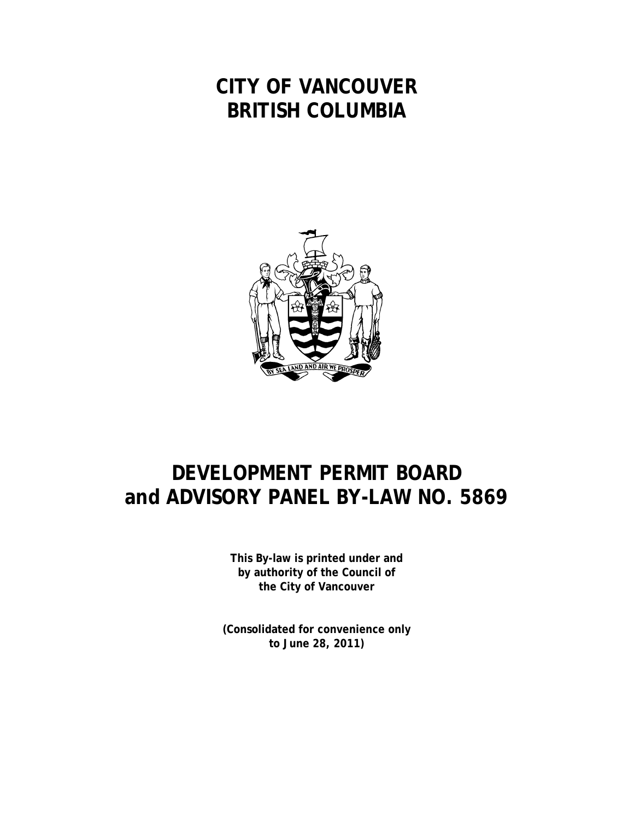## **CITY OF VANCOUVER BRITISH COLUMBIA**



## **DEVELOPMENT PERMIT BOARD and ADVISORY PANEL BY-LAW NO. 5869**

**This By-law is printed under and by authority of the Council of the City of Vancouver**

**(Consolidated for convenience only to June 28, 2011)**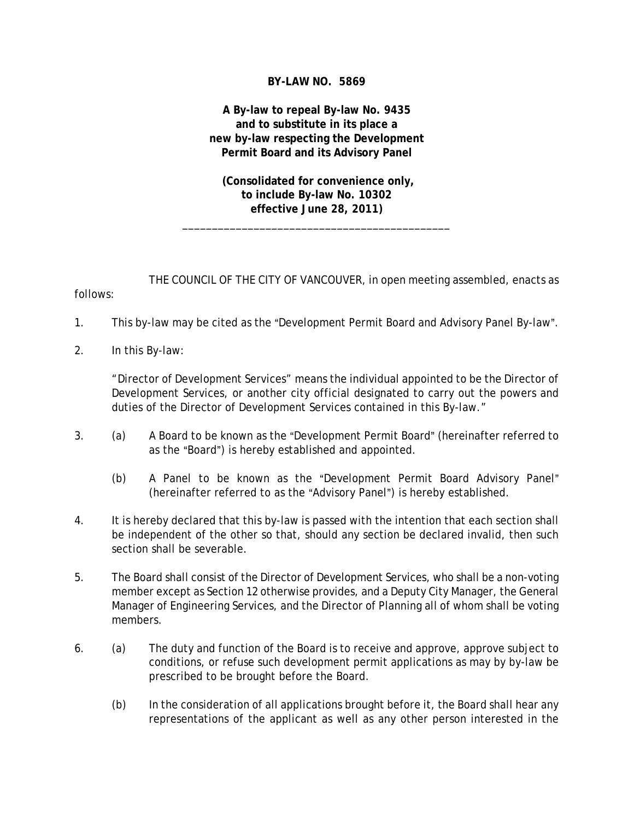## **BY-LAW NO. 5869**

## **A By-law to repeal By-law No. 9435 and to substitute in its place a new by-law respecting the Development Permit Board and its Advisory Panel**

 **(Consolidated for convenience only, to include By-law No. 10302 effective June 28, 2011)**

\_\_\_\_\_\_\_\_\_\_\_\_\_\_\_\_\_\_\_\_\_\_\_\_\_\_\_\_\_\_\_\_\_\_\_\_\_\_\_\_\_\_\_\_\_

THE COUNCIL OF THE CITY OF VANCOUVER, in open meeting assembled, enacts as follows:

- 1. This by-law may be cited as the "Development Permit Board and Advisory Panel By-law".
- 2. In this By-law:

"Director of Development Services" means the individual appointed to be the Director of Development Services, or another city official designated to carry out the powers and duties of the Director of Development Services contained in this By-law."

- 3. (a) A Board to be known as the "Development Permit Board" (hereinafter referred to as the "Board") is hereby established and appointed.
	- (b) A Panel to be known as the "Development Permit Board Advisory Panel" (hereinafter referred to as the "Advisory Panel") is hereby established.
- 4. It is hereby declared that this by-law is passed with the intention that each section shall be independent of the other so that, should any section be declared invalid, then such section shall be severable.
- 5. The Board shall consist of the Director of Development Services, who shall be a non-voting member except as Section 12 otherwise provides, and a Deputy City Manager, the General Manager of Engineering Services, and the Director of Planning all of whom shall be voting members.
- 6. (a) The duty and function of the Board is to receive and approve, approve subject to conditions, or refuse such development permit applications as may by by-law be prescribed to be brought before the Board.
	- (b) In the consideration of all applications brought before it, the Board shall hear any representations of the applicant as well as any other person interested in the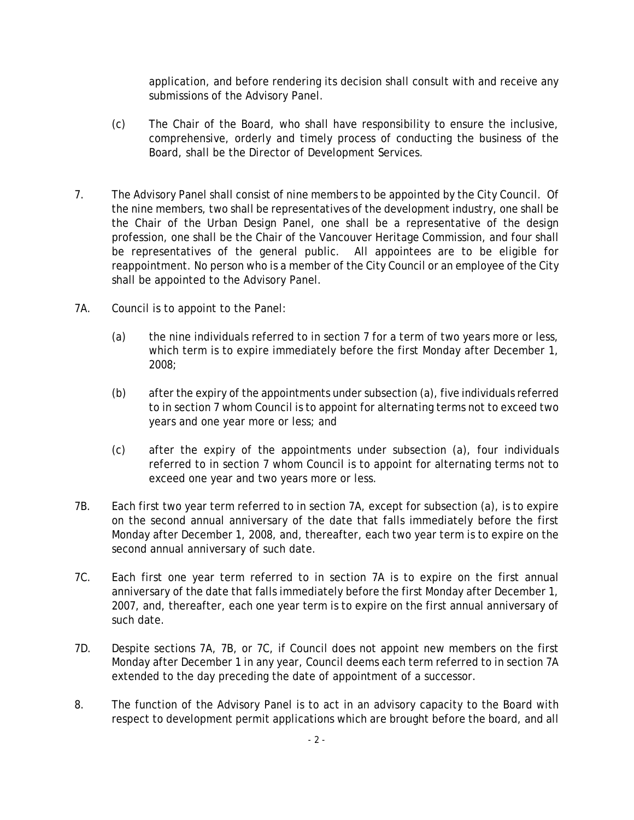application, and before rendering its decision shall consult with and receive any submissions of the Advisory Panel.

- (c) The Chair of the Board, who shall have responsibility to ensure the inclusive, comprehensive, orderly and timely process of conducting the business of the Board, shall be the Director of Development Services.
- 7. The Advisory Panel shall consist of nine members to be appointed by the City Council. Of the nine members, two shall be representatives of the development industry, one shall be the Chair of the Urban Design Panel, one shall be a representative of the design profession, one shall be the Chair of the Vancouver Heritage Commission, and four shall be representatives of the general public. All appointees are to be eligible for reappointment. No person who is a member of the City Council or an employee of the City shall be appointed to the Advisory Panel.
- 7A. Council is to appoint to the Panel:
	- (a) the nine individuals referred to in section 7 for a term of two years more or less, which term is to expire immediately before the first Monday after December 1, 2008;
	- (b) after the expiry of the appointments under subsection (a), five individuals referred to in section 7 whom Council is to appoint for alternating terms not to exceed two years and one year more or less; and
	- (c) after the expiry of the appointments under subsection (a), four individuals referred to in section 7 whom Council is to appoint for alternating terms not to exceed one year and two years more or less.
- 7B. Each first two year term referred to in section 7A, except for subsection (a), is to expire on the second annual anniversary of the date that falls immediately before the first Monday after December 1, 2008, and, thereafter, each two year term is to expire on the second annual anniversary of such date.
- 7C. Each first one year term referred to in section 7A is to expire on the first annual anniversary of the date that falls immediately before the first Monday after December 1, 2007, and, thereafter, each one year term is to expire on the first annual anniversary of such date.
- 7D. Despite sections 7A, 7B, or 7C, if Council does not appoint new members on the first Monday after December 1 in any year, Council deems each term referred to in section 7A extended to the day preceding the date of appointment of a successor.
- 8. The function of the Advisory Panel is to act in an advisory capacity to the Board with respect to development permit applications which are brought before the board, and all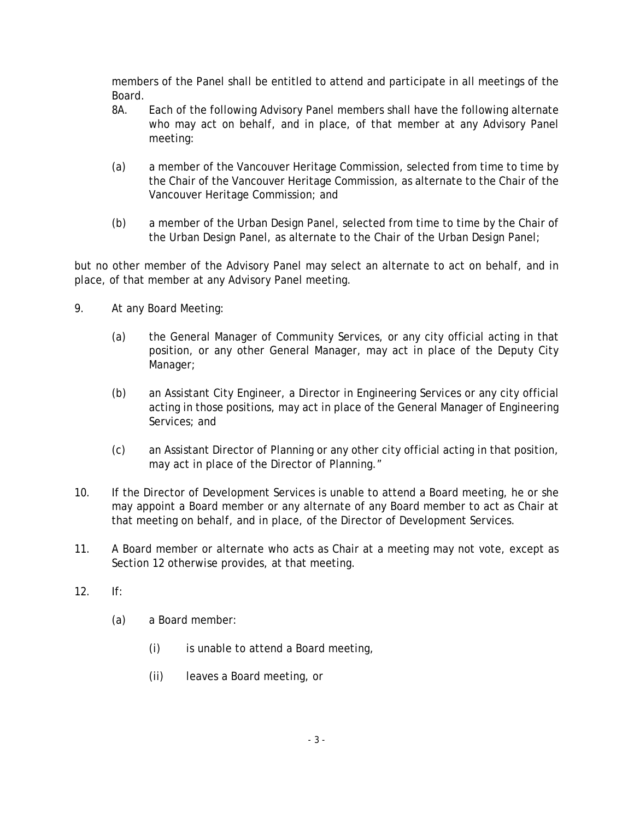members of the Panel shall be entitled to attend and participate in all meetings of the Board.

- 8A. Each of the following Advisory Panel members shall have the following alternate who may act on behalf, and in place, of that member at any Advisory Panel meeting:
- (a) a member of the Vancouver Heritage Commission, selected from time to time by the Chair of the Vancouver Heritage Commission, as alternate to the Chair of the Vancouver Heritage Commission; and
- (b) a member of the Urban Design Panel, selected from time to time by the Chair of the Urban Design Panel, as alternate to the Chair of the Urban Design Panel;

but no other member of the Advisory Panel may select an alternate to act on behalf, and in place, of that member at any Advisory Panel meeting.

- 9. At any Board Meeting:
	- (a) the General Manager of Community Services, or any city official acting in that position, or any other General Manager, may act in place of the Deputy City Manager;
	- (b) an Assistant City Engineer, a Director in Engineering Services or any city official acting in those positions, may act in place of the General Manager of Engineering Services; and
	- (c) an Assistant Director of Planning or any other city official acting in that position, may act in place of the Director of Planning."
- 10. If the Director of Development Services is unable to attend a Board meeting, he or she may appoint a Board member or any alternate of any Board member to act as Chair at that meeting on behalf, and in place, of the Director of Development Services.
- 11. A Board member or alternate who acts as Chair at a meeting may not vote, except as Section 12 otherwise provides, at that meeting.
- 12. If:
	- (a) a Board member:
		- (i) is unable to attend a Board meeting,
		- (ii) leaves a Board meeting, or